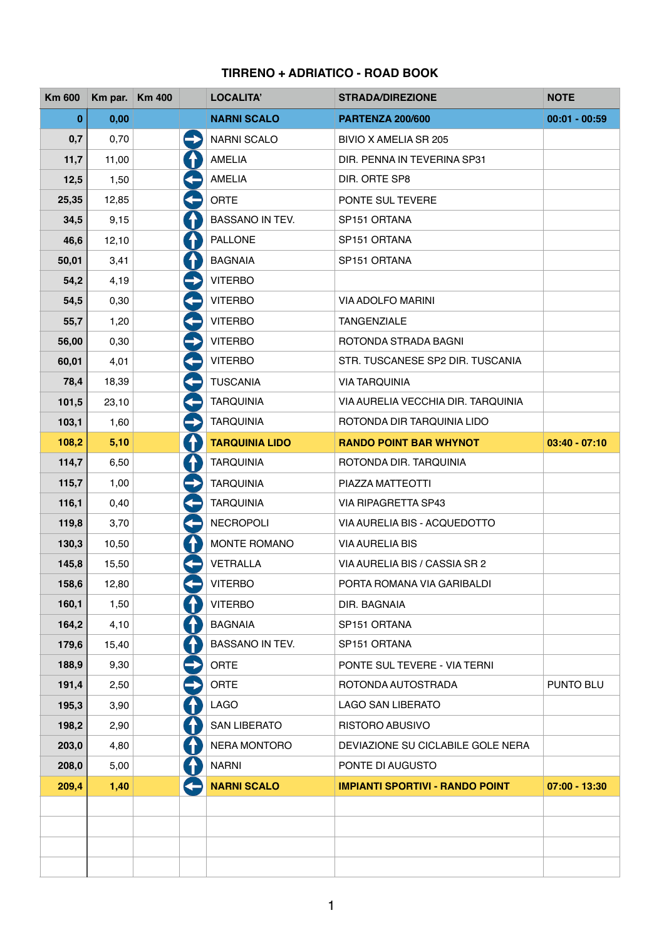## **TIRRENO + ADRIATICO - ROAD BOOK**

| <b>Km 600</b> | Km par. Km 400 |               | <b>LOCALITA'</b>       | <b>STRADA/DIREZIONE</b>                | <b>NOTE</b>     |
|---------------|----------------|---------------|------------------------|----------------------------------------|-----------------|
| $\bf{0}$      | 0,00           |               | <b>NARNI SCALO</b>     | <b>PARTENZA 200/600</b>                | $00:01 - 00:59$ |
| 0,7           | 0,70           | $\rightarrow$ | <b>NARNI SCALO</b>     | <b>BIVIO X AMELIA SR 205</b>           |                 |
| 11,7          | 11,00          | $\bigcap$     | <b>AMELIA</b>          | DIR. PENNA IN TEVERINA SP31            |                 |
| 12,5          | 1,50           | $\leftarrow$  | <b>AMELIA</b>          | DIR. ORTE SP8                          |                 |
| 25,35         | 12,85          | $\leftarrow$  | <b>ORTE</b>            | PONTE SUL TEVERE                       |                 |
| 34,5          | 9,15           | $\bigcap$     | <b>BASSANO IN TEV.</b> | SP151 ORTANA                           |                 |
| 46,6          | 12,10          | $\bigcap$     | <b>PALLONE</b>         | SP151 ORTANA                           |                 |
| 50,01         | 3,41           | $\bf \Lambda$ | <b>BAGNAIA</b>         | SP151 ORTANA                           |                 |
| 54,2          | 4,19           | $\rightarrow$ | <b>VITERBO</b>         |                                        |                 |
| 54,5          | 0,30           | $\leftarrow$  | <b>VITERBO</b>         | <b>VIA ADOLFO MARINI</b>               |                 |
| 55,7          | 1,20           | G             | <b>VITERBO</b>         | <b>TANGENZIALE</b>                     |                 |
| 56,00         | 0,30           | $\rightarrow$ | <b>VITERBO</b>         | ROTONDA STRADA BAGNI                   |                 |
| 60,01         | 4,01           | $\leftarrow$  | <b>VITERBO</b>         | STR. TUSCANESE SP2 DIR. TUSCANIA       |                 |
| 78,4          | 18,39          | $\leftarrow$  | <b>TUSCANIA</b>        | <b>VIA TARQUINIA</b>                   |                 |
| 101,5         | 23,10          | 4             | <b>TARQUINIA</b>       | VIA AURELIA VECCHIA DIR. TARQUINIA     |                 |
| 103,1         | 1,60           | $\rightarrow$ | <b>TARQUINIA</b>       | ROTONDA DIR TARQUINIA LIDO             |                 |
| 108,2         | 5,10           | $\Lambda$     | <b>TARQUINIA LIDO</b>  | <b>RANDO POINT BAR WHYNOT</b>          | $03:40 - 07:10$ |
| 114,7         | 6,50           | 4             | <b>TARQUINIA</b>       | ROTONDA DIR. TARQUINIA                 |                 |
| 115,7         | 1,00           | $\rightarrow$ | <b>TARQUINIA</b>       | PIAZZA MATTEOTTI                       |                 |
| 116,1         | 0,40           | $\leftarrow$  | <b>TARQUINIA</b>       | VIA RIPAGRETTA SP43                    |                 |
| 119,8         | 3,70           | ♦             | <b>NECROPOLI</b>       | VIA AURELIA BIS - ACQUEDOTTO           |                 |
| 130,3         | 10,50          | 0             | MONTE ROMANO           | <b>VIA AURELIA BIS</b>                 |                 |
| 145,8         | 15,50          |               | <b>VETRALLA</b>        | VIA AURELIA BIS / CASSIA SR 2          |                 |
| 158,6         | 12,80          |               | <b>VITERBO</b>         | PORTA ROMANA VIA GARIBALDI             |                 |
| 160,1         | 1,50           | $\bigcap$     | <b>VITERBO</b>         | DIR. BAGNAIA                           |                 |
| 164,2         | 4,10           | $\Lambda$     | <b>BAGNAIA</b>         | SP151 ORTANA                           |                 |
| 179,6         | 15,40          | 1             | <b>BASSANO IN TEV.</b> | SP151 ORTANA                           |                 |
| 188,9         | 9,30           | $\rightarrow$ | <b>ORTE</b>            | PONTE SUL TEVERE - VIA TERNI           |                 |
| 191,4         | 2,50           | $\rightarrow$ | <b>ORTE</b>            | ROTONDA AUTOSTRADA                     | PUNTO BLU       |
| 195,3         | 3,90           | $\Lambda$     | <b>LAGO</b>            | <b>LAGO SAN LIBERATO</b>               |                 |
| 198,2         | 2,90           | 4             | <b>SAN LIBERATO</b>    | <b>RISTORO ABUSIVO</b>                 |                 |
| 203,0         | 4,80           | 1             | NERA MONTORO           | DEVIAZIONE SU CICLABILE GOLE NERA      |                 |
| 208,0         | 5,00           | $\Lambda$     | <b>NARNI</b>           | PONTE DI AUGUSTO                       |                 |
| 209,4         | 1,40           |               | <b>NARNI SCALO</b>     | <b>IMPIANTI SPORTIVI - RANDO POINT</b> | $07:00 - 13:30$ |
|               |                |               |                        |                                        |                 |
|               |                |               |                        |                                        |                 |
|               |                |               |                        |                                        |                 |
|               |                |               |                        |                                        |                 |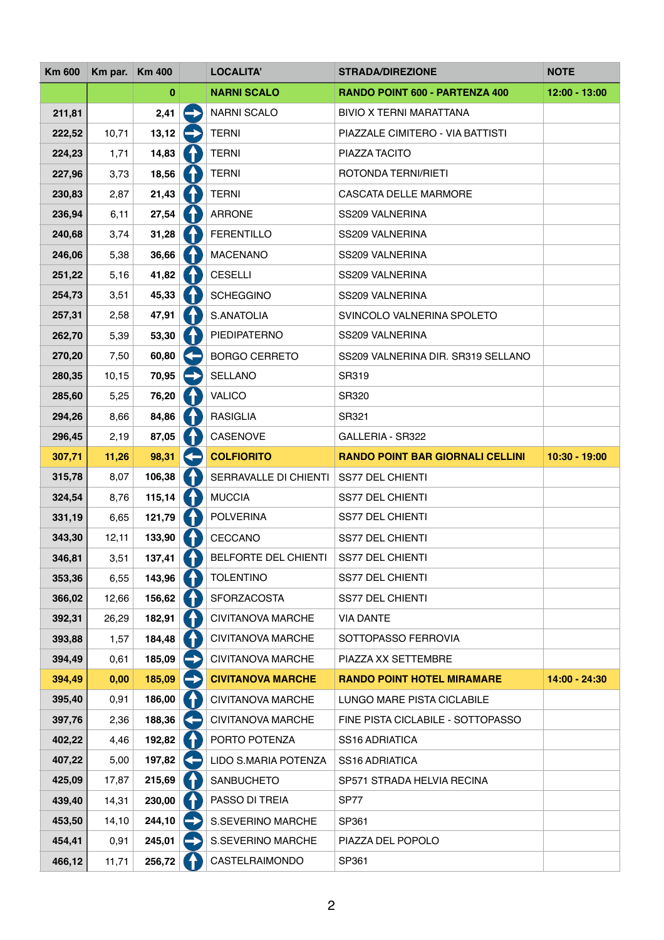| <b>Km 600</b> | Km par. Km 400 |          |                      | <b>LOCALITA'</b>         | <b>STRADA/DIREZIONE</b>                 | <b>NOTE</b>     |
|---------------|----------------|----------|----------------------|--------------------------|-----------------------------------------|-----------------|
|               |                | $\bf{0}$ |                      | <b>NARNI SCALO</b>       | RANDO POINT 600 - PARTENZA 400          | 12:00 - 13:00   |
| 211,81        |                | 2,41     |                      | <b>NARNI SCALO</b>       | <b>BIVIO X TERNI MARATTANA</b>          |                 |
| 222,52        | 10,71          | 13,12    |                      | <b>TERNI</b>             | PIAZZALE CIMITERO - VIA BATTISTI        |                 |
| 224,23        | 1,71           | 14,83    |                      | <b>TERNI</b>             | PIAZZA TACITO                           |                 |
| 227,96        | 3,73           | 18,56    | $\ddot{\phantom{1}}$ | <b>TERNI</b>             | ROTONDA TERNI/RIETI                     |                 |
| 230,83        | 2,87           | 21,43    |                      | <b>TERNI</b>             | <b>CASCATA DELLE MARMORE</b>            |                 |
| 236,94        | 6,11           | 27,54    |                      | <b>ARRONE</b>            | SS209 VALNERINA                         |                 |
| 240,68        | 3,74           | 31,28    |                      | <b>FERENTILLO</b>        | SS209 VALNERINA                         |                 |
| 246,06        | 5,38           | 36,66    |                      | <b>MACENANO</b>          | SS209 VALNERINA                         |                 |
| 251,22        | 5,16           | 41,82    | $\biguparrow$        | <b>CESELLI</b>           | SS209 VALNERINA                         |                 |
| 254,73        | 3,51           | 45,33    |                      | <b>SCHEGGINO</b>         | SS209 VALNERINA                         |                 |
| 257,31        | 2,58           | 47,91    | ↑                    | S.ANATOLIA               | SVINCOLO VALNERINA SPOLETO              |                 |
| 262,70        | 5,39           | 53,30    |                      | PIEDIPATERNO             | SS209 VALNERINA                         |                 |
| 270,20        | 7,50           | 60,80    |                      | <b>BORGO CERRETO</b>     | SS209 VALNERINA DIR. SR319 SELLANO      |                 |
| 280,35        | 10, 15         | 70,95    |                      | <b>SELLANO</b>           | SR319                                   |                 |
| 285,60        | 5,25           | 76,20    |                      | <b>VALICO</b>            | <b>SR320</b>                            |                 |
| 294,26        | 8,66           | 84,86    | $\blacklozenge$      | <b>RASIGLIA</b>          | SR321                                   |                 |
| 296,45        | 2,19           | 87,05    | $\ddagger$           | CASENOVE                 | <b>GALLERIA - SR322</b>                 |                 |
| 307,71        | 11,26          | 98,31    | Œ                    | <b>COLFIORITO</b>        | <b>RANDO POINT BAR GIORNALI CELLINI</b> | $10:30 - 19:00$ |
| 315,78        | 8,07           | 106,38   | ↑                    | SERRAVALLE DI CHIENTI    | <b>SS77 DEL CHIENTI</b>                 |                 |
| 324,54        | 8,76           | 115,14   |                      | <b>MUCCIA</b>            | <b>SS77 DEL CHIENTI</b>                 |                 |
| 331,19        | 6,65           | 121,79   | $\biguparrow$        | <b>POLVERINA</b>         | <b>SS77 DEL CHIENTI</b>                 |                 |
| 343,30        | 12,11          | 133,90   | ↑                    | CECCANO                  | <b>SS77 DEL CHIENTI</b>                 |                 |
| 346,81        | 3,51           | 137,41   | $\bigcap$            | BELFORTE DEL CHIENTI     | <b>SS77 DEL CHIENTI</b>                 |                 |
| 353,36        | 6,55           | 143,96   | $\hat{\mathbf{r}}$   | <b>TOLENTINO</b>         | <b>SS77 DEL CHIENTI</b>                 |                 |
| 366,02        | 12,66          | 156,62   |                      | <b>SFORZACOSTA</b>       | <b>SS77 DEL CHIENTI</b>                 |                 |
| 392,31        | 26,29          | 182,91   | $\bigcap$            | <b>CIVITANOVA MARCHE</b> | <b>VIA DANTE</b>                        |                 |
| 393,88        | 1,57           | 184,48   | $\ddagger$           | <b>CIVITANOVA MARCHE</b> | SOTTOPASSO FERROVIA                     |                 |
| 394,49        | 0,61           | 185,09   |                      | <b>CIVITANOVA MARCHE</b> | PIAZZA XX SETTEMBRE                     |                 |
| 394,49        | 0,00           | 185,09   |                      | <b>CIVITANOVA MARCHE</b> | <b>RANDO POINT HOTEL MIRAMARE</b>       | 14:00 - 24:30   |
| 395,40        | 0,91           | 186,00   | $\biguparrow$        | <b>CIVITANOVA MARCHE</b> | LUNGO MARE PISTA CICLABILE              |                 |
| 397,76        | 2,36           | 188,36   |                      | <b>CIVITANOVA MARCHE</b> | FINE PISTA CICLABILE - SOTTOPASSO       |                 |
| 402,22        | 4,46           | 192,82   | $\biguparrow$        | PORTO POTENZA            | <b>SS16 ADRIATICA</b>                   |                 |
| 407,22        | 5,00           | 197,82   |                      | LIDO S.MARIA POTENZA     | <b>SS16 ADRIATICA</b>                   |                 |
| 425,09        | 17,87          | 215,69   | ↑                    | SANBUCHETO               | SP571 STRADA HELVIA RECINA              |                 |
| 439,40        | 14,31          | 230,00   | ♦                    | PASSO DI TREIA           | <b>SP77</b>                             |                 |
| 453,50        | 14,10          | 244,10   | $\rightarrow$        | S.SEVERINO MARCHE        | SP361                                   |                 |
| 454,41        | 0,91           | 245,01   |                      | S.SEVERINO MARCHE        | PIAZZA DEL POPOLO                       |                 |
| 466,12        | 11,71          | 256,72   |                      | CASTELRAIMONDO           | SP361                                   |                 |